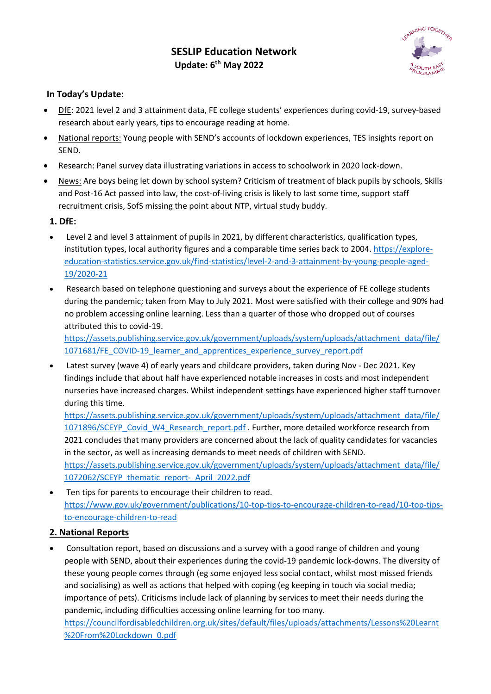# **SESLIP Education Network Update: 6th May 2022**



## **In Today's Update:**

- DfE: 2021 level 2 and 3 attainment data, FE college students' experiences during covid-19, survey-based research about early years, tips to encourage reading at home.
- National reports: Young people with SEND's accounts of lockdown experiences, TES insights report on SEND.
- Research: Panel survey data illustrating variations in access to schoolwork in 2020 lock-down.
- News: Are boys being let down by school system? Criticism of treatment of black pupils by schools, Skills and Post-16 Act passed into law, the cost-of-living crisis is likely to last some time, support staff recruitment crisis, SofS missing the point about NTP, virtual study buddy.

## **1. DfE:**

- Level 2 and level 3 attainment of pupils in 2021, by different characteristics, qualification types, institution types, local authority figures and a comparable time series back to 2004. https://exploreeducation-statistics.service.gov.uk/find-statistics/level-2-and-3-attainment-by-young-people-aged-19/2020-21
- Research based on telephone questioning and surveys about the experience of FE college students during the pandemic; taken from May to July 2021. Most were satisfied with their college and 90% had no problem accessing online learning. Less than a quarter of those who dropped out of courses attributed this to covid-19.

https://assets.publishing.service.gov.uk/government/uploads/system/uploads/attachment\_data/file/ 1071681/FE\_COVID-19\_learner\_and\_apprentices\_experience\_survey\_report.pdf

• Latest survey (wave 4) of early years and childcare providers, taken during Nov - Dec 2021. Key findings include that about half have experienced notable increases in costs and most independent nurseries have increased charges. Whilst independent settings have experienced higher staff turnover during this time.

https://assets.publishing.service.gov.uk/government/uploads/system/uploads/attachment\_data/file/ 1071896/SCEYP\_Covid\_W4\_Research\_report.pdf . Further, more detailed workforce research from 2021 concludes that many providers are concerned about the lack of quality candidates for vacancies in the sector, as well as increasing demands to meet needs of children with SEND. https://assets.publishing.service.gov.uk/government/uploads/system/uploads/attachment\_data/file/ 1072062/SCEYP\_thematic\_report-\_April\_2022.pdf

• Ten tips for parents to encourage their children to read. https://www.gov.uk/government/publications/10-top-tips-to-encourage-children-to-read/10-top-tipsto-encourage-children-to-read

## **2. National Reports**

• Consultation report, based on discussions and a survey with a good range of children and young people with SEND, about their experiences during the covid-19 pandemic lock-downs. The diversity of these young people comes through (eg some enjoyed less social contact, whilst most missed friends and socialising) as well as actions that helped with coping (eg keeping in touch via social media; importance of pets). Criticisms include lack of planning by services to meet their needs during the pandemic, including difficulties accessing online learning for too many. https://councilfordisabledchildren.org.uk/sites/default/files/uploads/attachments/Lessons%20Learnt %20From%20Lockdown\_0.pdf